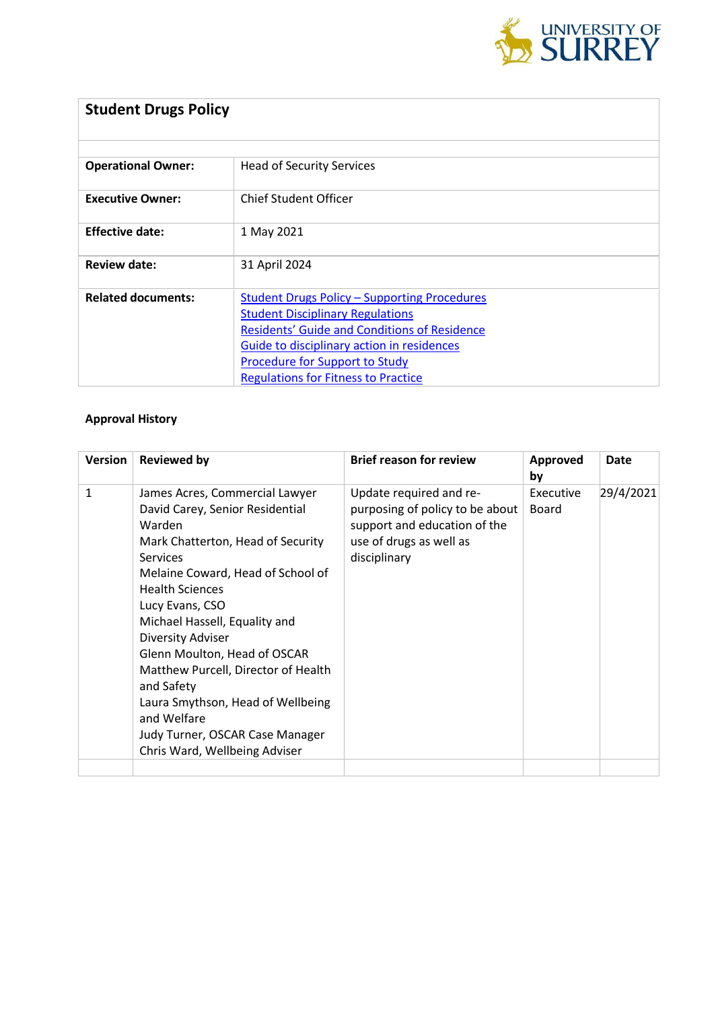

| <b>Student Drugs Policy</b> |                                                     |  |  |  |
|-----------------------------|-----------------------------------------------------|--|--|--|
|                             |                                                     |  |  |  |
| <b>Operational Owner:</b>   | <b>Head of Security Services</b>                    |  |  |  |
| <b>Executive Owner:</b>     | <b>Chief Student Officer</b>                        |  |  |  |
| <b>Effective date:</b>      | 1 May 2021                                          |  |  |  |
| Review date:                | 31 April 2024                                       |  |  |  |
| <b>Related documents:</b>   | <b>Student Drugs Policy - Supporting Procedures</b> |  |  |  |
|                             | <b>Student Disciplinary Regulations</b>             |  |  |  |
|                             | <b>Residents' Guide and Conditions of Residence</b> |  |  |  |
|                             | Guide to disciplinary action in residences          |  |  |  |
|                             | Procedure for Support to Study                      |  |  |  |
|                             | <b>Regulations for Fitness to Practice</b>          |  |  |  |

### **Approval History**

| Version      | <b>Reviewed by</b>                                                                                                                                                                                                                                                                                                                                                                                                                                                                              | <b>Brief reason for review</b>                                                                                                        | Approved<br>by     | Date      |
|--------------|-------------------------------------------------------------------------------------------------------------------------------------------------------------------------------------------------------------------------------------------------------------------------------------------------------------------------------------------------------------------------------------------------------------------------------------------------------------------------------------------------|---------------------------------------------------------------------------------------------------------------------------------------|--------------------|-----------|
| $\mathbf{1}$ | James Acres, Commercial Lawyer<br>David Carey, Senior Residential<br>Warden<br>Mark Chatterton, Head of Security<br><b>Services</b><br>Melaine Coward, Head of School of<br><b>Health Sciences</b><br>Lucy Evans, CSO<br>Michael Hassell, Equality and<br><b>Diversity Adviser</b><br>Glenn Moulton, Head of OSCAR<br>Matthew Purcell, Director of Health<br>and Safety<br>Laura Smythson, Head of Wellbeing<br>and Welfare<br>Judy Turner, OSCAR Case Manager<br>Chris Ward, Wellbeing Adviser | Update required and re-<br>purposing of policy to be about<br>support and education of the<br>use of drugs as well as<br>disciplinary | Executive<br>Board | 29/4/2021 |
|              |                                                                                                                                                                                                                                                                                                                                                                                                                                                                                                 |                                                                                                                                       |                    |           |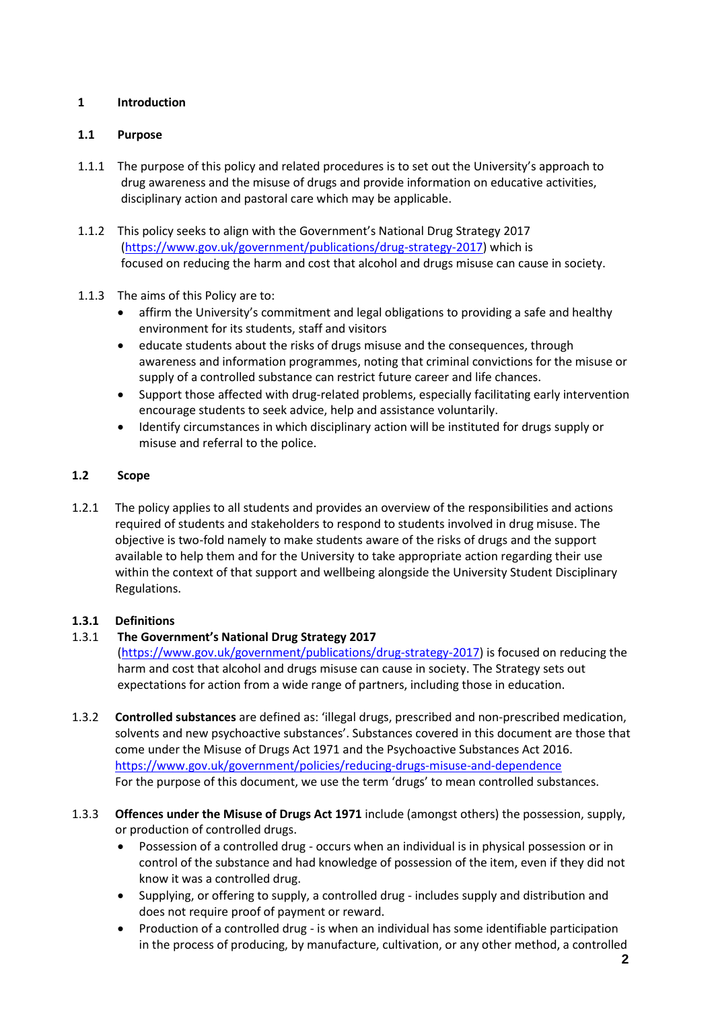### **1 Introduction**

### **1.1 Purpose**

- 1.1.1 The purpose of this policy and related procedures is to set out the University's approach to drug awareness and the misuse of drugs and provide information on educative activities, disciplinary action and pastoral care which may be applicable.
- 1.1.2 This policy seeks to align with the Government's National Drug Strategy 2017 [\(https://www.gov.uk/government/publications/drug-strategy-2017\)](https://www.gov.uk/government/publications/drug-strategy-2017) which is focused on reducing the harm and cost that alcohol and drugs misuse can cause in society.
- 1.1.3 The aims of this Policy are to:
	- affirm the University's commitment and legal obligations to providing a safe and healthy environment for its students, staff and visitors
	- educate students about the risks of drugs misuse and the consequences, through awareness and information programmes, noting that criminal convictions for the misuse or supply of a controlled substance can restrict future career and life chances.
	- Support those affected with drug-related problems, especially facilitating early intervention encourage students to seek advice, help and assistance voluntarily.
	- Identify circumstances in which disciplinary action will be instituted for drugs supply or misuse and referral to the police.

# **1.2 Scope**

1.2.1 The policy applies to all students and provides an overview of the responsibilities and actions required of students and stakeholders to respond to students involved in drug misuse. The objective is two-fold namely to make students aware of the risks of drugs and the support available to help them and for the University to take appropriate action regarding their use within the context of that support and wellbeing alongside the University Student Disciplinary Regulations.

# **1.3.1 Definitions**

# 1.3.1 **The Government's National Drug Strategy 2017**

[\(https://www.gov.uk/government/publications/drug-strategy-2017\)](https://www.gov.uk/government/publications/drug-strategy-2017) is focused on reducing the harm and cost that alcohol and drugs misuse can cause in society. The Strategy sets out expectations for action from a wide range of partners, including those in education.

- 1.3.2 **Controlled substances** are defined as: 'illegal drugs, prescribed and non-prescribed medication, solvents and new psychoactive substances'. Substances covered in this document are those that come under the Misuse of Drugs Act 1971 and the Psychoactive Substances Act 2016. <https://www.gov.uk/government/policies/reducing-drugs-misuse-and-dependence> For the purpose of this document, we use the term 'drugs' to mean controlled substances.
- 1.3.3 **Offences under the Misuse of Drugs Act 1971** include (amongst others) the possession, supply, or production of controlled drugs.
	- Possession of a controlled drug occurs when an individual is in physical possession or in control of the substance and had knowledge of possession of the item, even if they did not know it was a controlled drug.
	- Supplying, or offering to supply, a controlled drug includes supply and distribution and does not require proof of payment or reward.
	- Production of a controlled drug is when an individual has some identifiable participation in the process of producing, by manufacture, cultivation, or any other method, a controlled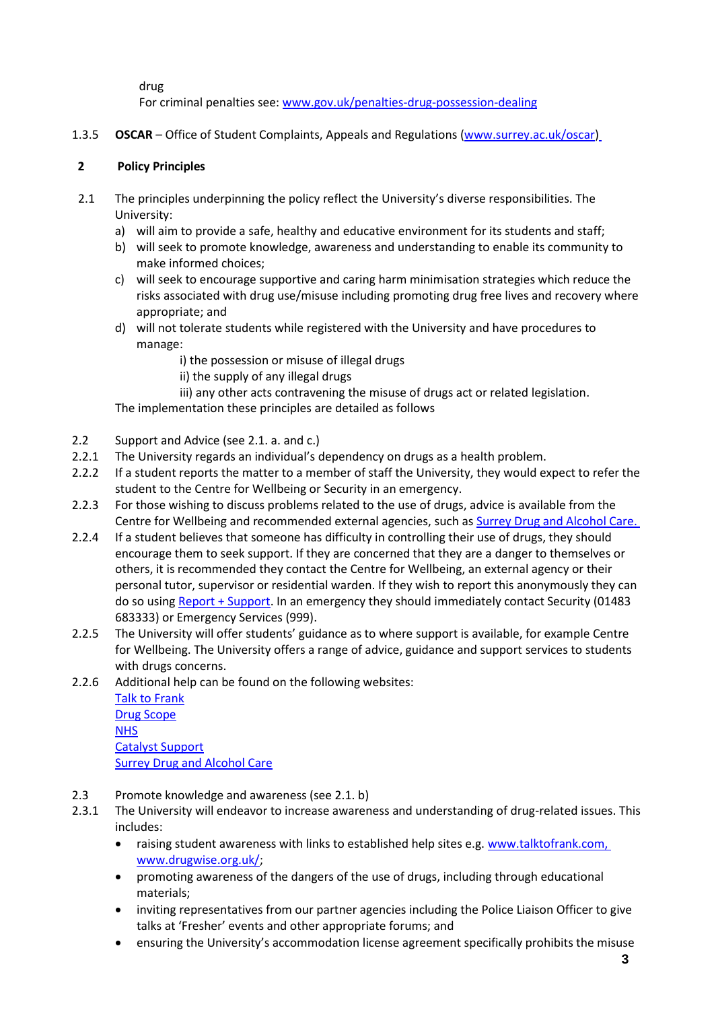drug For criminal penalties see[: www.gov.uk/penalties-drug-possession-dealing](http://www.gov.uk/penalties-drug-possession-dealing)

1.3.5 **OSCAR** – Office of Student Complaints, Appeals and Regulations [\(www.surrey.ac.uk/oscar\)](http://www.surrey.ac.uk/oscar)

#### **2 Policy Principles**

- 2.1 The principles underpinning the policy reflect the University's diverse responsibilities. The University:
	- a) will aim to provide a safe, healthy and educative environment for its students and staff;
	- b) will seek to promote knowledge, awareness and understanding to enable its community to make informed choices;
	- c) will seek to encourage supportive and caring harm minimisation strategies which reduce the risks associated with drug use/misuse including promoting drug free lives and recovery where appropriate; and
	- d) will not tolerate students while registered with the University and have procedures to manage:
		- i) the possession or misuse of illegal drugs
		- ii) the supply of any illegal drugs
		- iii) any other acts contravening the misuse of drugs act or related legislation.

The implementation these principles are detailed as follows

- 2.2 Support and Advice (see 2.1. a. and c.)
- 2.2.1 The University regards an individual's dependency on drugs as a health problem.
- 2.2.2 If a student reports the matter to a member of staff the University, they would expect to refer the student to the Centre for Wellbeing or Security in an emergency.
- 2.2.3 For those wishing to discuss problems related to the use of drugs, advice is available from the Centre for Wellbeing and recommended external agencies, such as [Surrey Drug and Alcohol Care.](https://www.surreydrugcare.org.uk/)
- 2.2.4 If a student believes that someone has difficulty in controlling their use of drugs, they should encourage them to seek support. If they are concerned that they are a danger to themselves or others, it is recommended they contact the Centre for Wellbeing, an external agency or their personal tutor, supervisor or residential warden. If they wish to report this anonymously they can do so usin[g Report + Support.](https://reportandsupport.surrey.ac.uk/) In an emergency they should immediately contact Security (01483 683333) or Emergency Services (999).
- 2.2.5 The University will offer students' guidance as to where support is available, for example Centre for Wellbeing. The University offers a range of advice, guidance and support services to students with drugs concerns.
- 2.2.6 Additional help can be found on the following websites:

[Talk to Frank](http://www.talktofrank.com/) [Drug Scope](http://www.drugwise.org.uk/) **[NHS](http://www.nhs.uk/)** [Catalyst Support](https://www.catalystsupport.org.uk/%C2%A0) [Surrey Drug and Alcohol Care](https://www.surreydrugcare.org.uk/)

- 2.3 Promote knowledge and awareness (see 2.1. b)
- 2.3.1 The University will endeavor to increase awareness and understanding of drug-related issues. This includes:
	- raising student awareness with links to established help sites e.g[. www.talktofrank.com,](http://www.talktofrank.com/) [www.drugwise.org.uk/;](http://www.drugwise.org.uk/)
	- promoting awareness of the dangers of the use of drugs, including through educational materials;
	- inviting representatives from our partner agencies including the Police Liaison Officer to give talks at 'Fresher' events and other appropriate forums; and
	- ensuring the University's accommodation license agreement specifically prohibits the misuse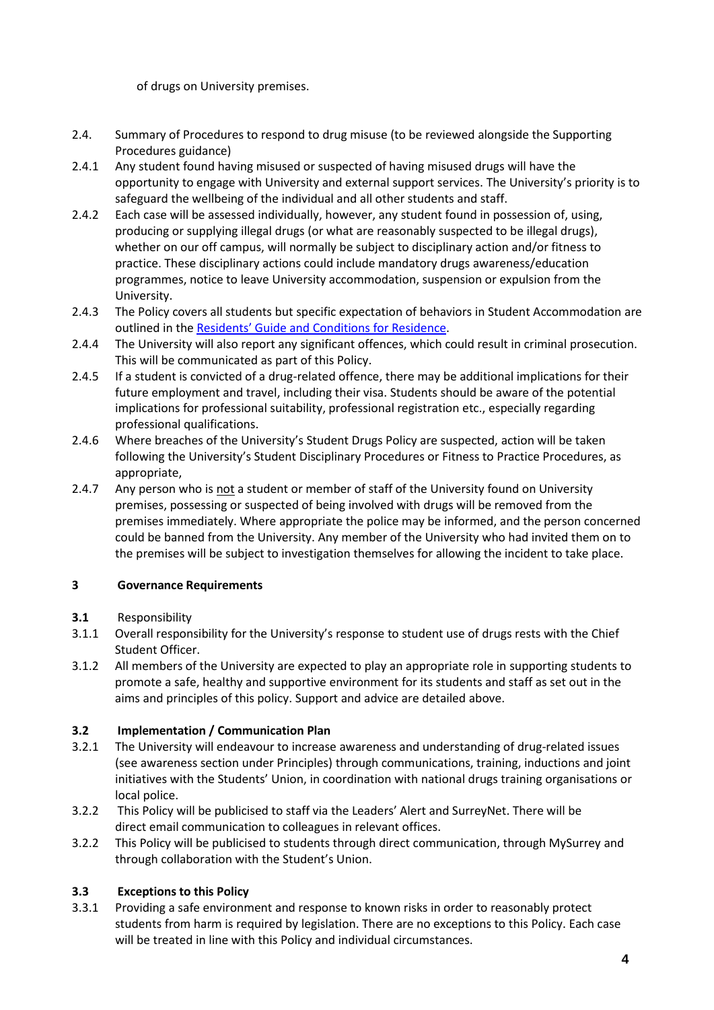of drugs on University premises.

- 2.4. Summary of Procedures to respond to drug misuse (to be reviewed alongside the Supporting Procedures guidance)
- 2.4.1 Any student found having misused or suspected of having misused drugs will have the opportunity to engage with University and external support services. The University's priority is to safeguard the wellbeing of the individual and all other students and staff.
- 2.4.2 Each case will be assessed individually, however, any student found in possession of, using, producing or supplying illegal drugs (or what are reasonably suspected to be illegal drugs), whether on our off campus, will normally be subject to disciplinary action and/or fitness to practice. These disciplinary actions could include mandatory drugs awareness/education programmes, notice to leave University accommodation, suspension or expulsion from the University.
- 2.4.3 The Policy covers all students but specific expectation of behaviors in Student Accommodation are outlined in the Residents' Guide and [Conditions for Residence.](https://www.surrey.ac.uk/sites/default/files/2020-09/residents-guide.pdf)
- 2.4.4 The University will also report any significant offences, which could result in criminal prosecution. This will be communicated as part of this Policy.
- 2.4.5 If a student is convicted of a drug-related offence, there may be additional implications for their future employment and travel, including their visa. Students should be aware of the potential implications for professional suitability, professional registration etc., especially regarding professional qualifications.
- 2.4.6 Where breaches of the University's Student Drugs Policy are suspected, action will be taken following the University's Student Disciplinary Procedures or Fitness to Practice Procedures, as appropriate,
- 2.4.7 Any person who is not a student or member of staff of the University found on University premises, possessing or suspected of being involved with drugs will be removed from the premises immediately. Where appropriate the police may be informed, and the person concerned could be banned from the University. Any member of the University who had invited them on to the premises will be subject to investigation themselves for allowing the incident to take place.

#### **3 Governance Requirements**

- **3.1** Responsibility
- 3.1.1 Overall responsibility for the University's response to student use of drugs rests with the Chief Student Officer.
- 3.1.2 All members of the University are expected to play an appropriate role in supporting students to promote a safe, healthy and supportive environment for its students and staff as set out in the aims and principles of this policy. Support and advice are detailed above.

#### **3.2 Implementation / Communication Plan**

- 3.2.1 The University will endeavour to increase awareness and understanding of drug-related issues (see awareness section under Principles) through communications, training, inductions and joint initiatives with the Students' Union, in coordination with national drugs training organisations or local police.
- 3.2.2 This Policy will be publicised to staff via the Leaders' Alert and SurreyNet. There will be direct email communication to colleagues in relevant offices.
- 3.2.2 This Policy will be publicised to students through direct communication, through MySurrey and through collaboration with the Student's Union.

#### **3.3 Exceptions to this Policy**

3.3.1 Providing a safe environment and response to known risks in order to reasonably protect students from harm is required by legislation. There are no exceptions to this Policy. Each case will be treated in line with this Policy and individual circumstances.